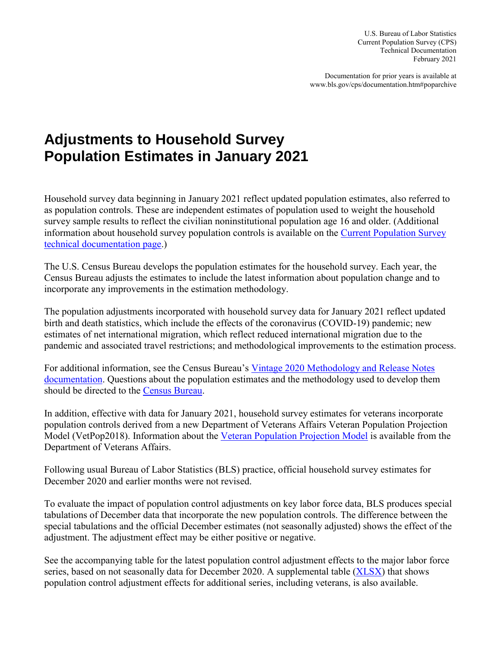U.S. Bureau of Labor Statistics Current Population Survey (CPS) Technical Documentation February 2021

Documentation for prior years is available at [www.bls.gov/cps/documentation.htm#poparchive](http://www.bls.gov/cps/documentation.htm#poparchive)

## **Adjustments to Household Survey Population Estimates in January 2021**

Household survey data beginning in January 2021 reflect updated population estimates, also referred to as population controls. These are independent estimates of population used to weight the household survey sample results to reflect the civilian noninstitutional population age 16 and older. (Additional information about household survey population controls is available on the [Current Population Survey](https://www.bls.gov/cps/documentation.htm#pop)  [technical documentation page.](https://www.bls.gov/cps/documentation.htm#pop))

The U.S. Census Bureau develops the population estimates for the household survey. Each year, the Census Bureau adjusts the estimates to include the latest information about population change and to incorporate any improvements in the estimation methodology.

The population adjustments incorporated with household survey data for January 2021 reflect updated birth and death statistics, which include the effects of the coronavirus (COVID-19) pandemic; new estimates of net international migration, which reflect reduced international migration due to the pandemic and associated travel restrictions; and methodological improvements to the estimation process.

For additional information, see the Census Bureau's [Vintage 2020 Methodology and Release Notes](https://www.census.gov/programs-surveys/popest/technical-documentation/methodology.html)  [documentation.](https://www.census.gov/programs-surveys/popest/technical-documentation/methodology.html) Questions about the population estimates and the methodology used to develop them should be directed to the [Census Bureau.](https://www.census.gov/about/contact-us.html)

In addition, effective with data for January 2021, household survey estimates for veterans incorporate population controls derived from a new Department of Veterans Affairs Veteran Population Projection Model (VetPop2018). Information about the [Veteran Population Projection Model](http://www.va.gov/vetdata/docs/Demographics/New_Vetpop_Model/VP_18_A_Brief_Description.pdf) is available from the Department of Veterans Affairs.

Following usual Bureau of Labor Statistics (BLS) practice, official household survey estimates for December 2020 and earlier months were not revised.

To evaluate the impact of population control adjustments on key labor force data, BLS produces special tabulations of December data that incorporate the new population controls. The difference between the special tabulations and the official December estimates (not seasonally adjusted) shows the effect of the adjustment. The adjustment effect may be either positive or negative.

See the accompanying table for the latest population control adjustment effects to the major labor force series, based on not seasonally data for December 2020. A supplemental table [\(XLSX\)](https://www.bls.gov/cps/pop-adjustment-effects-key-series-Jan-2021.xlsx) that shows population control adjustment effects for additional series, including veterans, is also available.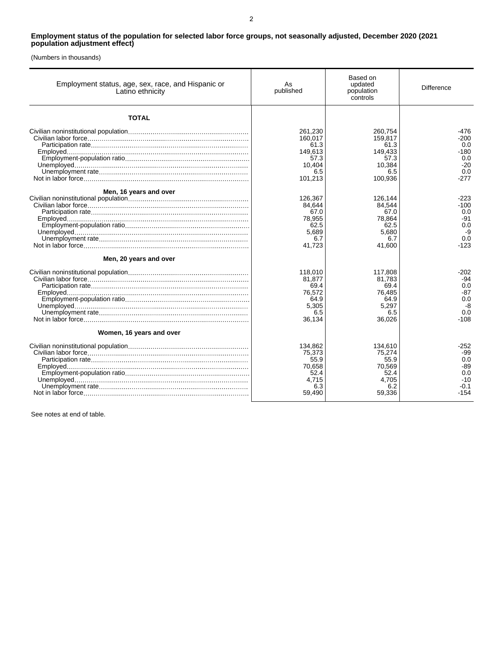## **Employment status of the population for selected labor force groups, not seasonally adjusted, December 2020 (2021 population adjustment effect)**

(Numbers in thousands)

| Employment status, age, sex, race, and Hispanic or<br>Latino ethnicity | As<br>published                                                           | Based on<br>updated<br>population<br>controls                             | <b>Difference</b>                                             |
|------------------------------------------------------------------------|---------------------------------------------------------------------------|---------------------------------------------------------------------------|---------------------------------------------------------------|
| <b>TOTAL</b>                                                           |                                                                           |                                                                           |                                                               |
|                                                                        | 261.230<br>160,017<br>61.3<br>149,613<br>57.3<br>10.404<br>6.5<br>101,213 | 260.754<br>159.817<br>61.3<br>149.433<br>57.3<br>10.384<br>6.5<br>100,936 | -476<br>-200<br>0.0<br>-180<br>0.0<br>$-20$<br>0.0<br>$-277$  |
| Men, 16 years and over                                                 | 126,367<br>84,644<br>67.0<br>78,955<br>62.5<br>5,689<br>6.7<br>41,723     | 126.144<br>84,544<br>67.0<br>78,864<br>62.5<br>5.680<br>6.7<br>41,600     | $-223$<br>$-100$<br>0.0<br>-91<br>0.0<br>-9<br>0.0<br>$-123$  |
| Men, 20 years and over                                                 | 118,010<br>81,877<br>69.4<br>76.572<br>64.9<br>5,305<br>6.5<br>36,134     | 117,808<br>81,783<br>69.4<br>76.485<br>64.9<br>5,297<br>6.5<br>36,026     | -202<br>-94<br>0.0<br>$-87$<br>0.0<br>-8<br>0.0<br>$-108$     |
| Women, 16 years and over                                               | 134,862<br>75,373<br>55.9<br>70.658<br>52.4<br>4.715<br>6.3<br>59,490     | 134,610<br>75.274<br>55.9<br>70.569<br>52.4<br>4.705<br>6.2<br>59,336     | -252<br>-99<br>0.0<br>-89<br>0.0<br>$-10$<br>$-0.1$<br>$-154$ |

See notes at end of table.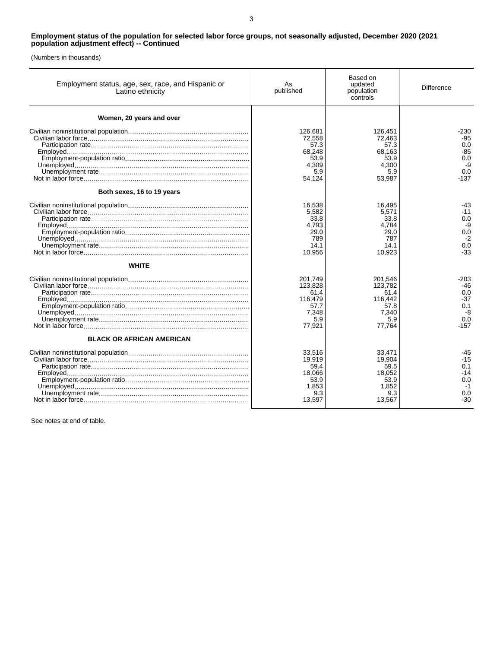## **Employment status of the population for selected labor force groups, not seasonally adjusted, December 2020 (2021 population adjustment effect) -- Continued**

(Numbers in thousands)

| Employment status, age, sex, race, and Hispanic or<br>Latino ethnicity | As<br>published                                                         | Based on<br>updated<br>population<br>controls                           | Difference                                                  |
|------------------------------------------------------------------------|-------------------------------------------------------------------------|-------------------------------------------------------------------------|-------------------------------------------------------------|
| Women, 20 years and over                                               |                                                                         |                                                                         |                                                             |
|                                                                        | 126,681<br>72.558<br>57.3<br>68,248<br>53.9<br>4,309<br>5.9<br>54,124   | 126,451<br>72.463<br>57.3<br>68,163<br>53.9<br>4,300<br>5.9<br>53,987   | -230<br>$-95$<br>0.0<br>-85<br>0.0<br>-9<br>0.0<br>$-137$   |
| Both sexes, 16 to 19 years                                             |                                                                         |                                                                         |                                                             |
|                                                                        | 16.538<br>5,582<br>33.8<br>4.793<br>29.0<br>789<br>14.1<br>10,956       | 16.495<br>5.571<br>33.8<br>4.784<br>29.0<br>787<br>14.1<br>10,923       | -43<br>$-11$<br>0.0<br>-9<br>0.0<br>$-2$<br>0.0<br>$-33$    |
| <b>WHITE</b>                                                           |                                                                         |                                                                         |                                                             |
|                                                                        | 201,749<br>123,828<br>61.4<br>116.479<br>57.7<br>7.348<br>5.9<br>77,921 | 201,546<br>123.782<br>61.4<br>116,442<br>57.8<br>7.340<br>5.9<br>77,764 | -203<br>-46<br>0.0<br>-37<br>0.1<br>-8<br>0.0<br>-157       |
| <b>BLACK OR AFRICAN AMERICAN</b>                                       |                                                                         |                                                                         |                                                             |
|                                                                        | 33,516<br>19,919<br>59.4<br>18.066<br>53.9<br>1,853<br>9.3<br>13,597    | 33,471<br>19,904<br>59.5<br>18,052<br>53.9<br>1.852<br>9.3<br>13,567    | -45<br>$-15$<br>0.1<br>$-14$<br>0.0<br>$-1$<br>0.0<br>$-30$ |

See notes at end of table.